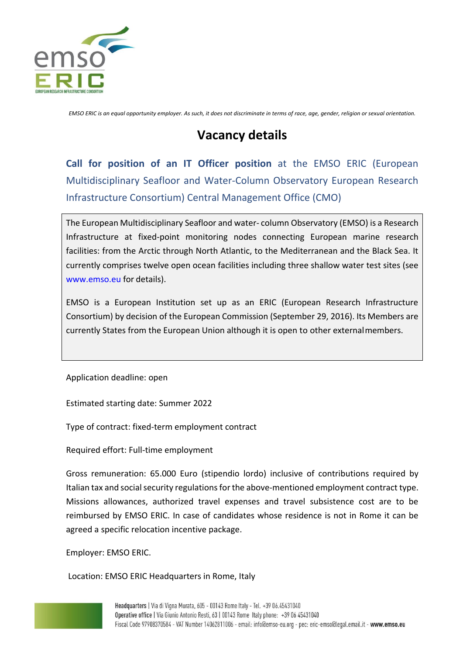

*EMSO ERIC is an equal opportunity employer. As such, it does not discriminate in terms of race, age, gender, religion or sexual orientation.*

# **Vacancy details**

**Call for position of an IT Officer position** at the EMSO ERIC (European Multidisciplinary Seafloor and Water-Column Observatory European Research Infrastructure Consortium) Central Management Office (CMO)

The European Multidisciplinary Seafloor and water- column Observatory (EMSO) is a Research Infrastructure at fixed-point monitoring nodes connecting European marine research facilities: from the Arctic through North Atlantic, to the Mediterranean and the Black Sea. It currently comprises twelve open ocean facilities including three shallow water test sites (see [www.emso.eu f](http://www.emso.eu/)or details).

EMSO is a European Institution set up as an ERIC (European Research Infrastructure Consortium) by decision of the European Commission (September 29, 2016). Its Members are currently States from the European Union although it is open to other externalmembers.

Application deadline: open

Estimated starting date: Summer 2022

Type of contract: fixed-term employment contract

Required effort: Full-time employment

Gross remuneration: 65.000 Euro (stipendio lordo) inclusive of contributions required by Italian tax and social security regulations for the above-mentioned employment contract type. Missions allowances, authorized travel expenses and travel subsistence cost are to be reimbursed by EMSO ERIC. In case of candidates whose residence is not in Rome it can be agreed a specific relocation incentive package.

Employer: EMSO ERIC.

Location: EMSO ERIC Headquarters in Rome, Italy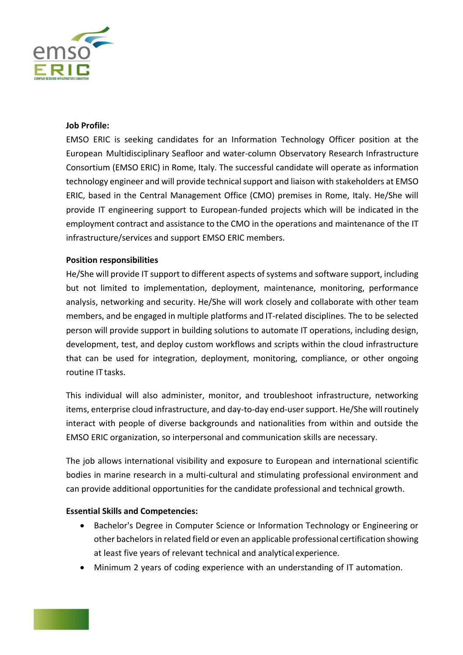

## **Job Profile:**

EMSO ERIC is seeking candidates for an Information Technology Officer position at the European Multidisciplinary Seafloor and water-column Observatory Research Infrastructure Consortium (EMSO ERIC) in Rome, Italy. The successful candidate will operate as information technology engineer and will provide technical support and liaison with stakeholders at EMSO ERIC, based in the Central Management Office (CMO) premises in Rome, Italy. He/She will provide IT engineering support to European-funded projects which will be indicated in the employment contract and assistance to the CMO in the operations and maintenance of the IT infrastructure/services and support EMSO ERIC members.

# **Position responsibilities**

He/She will provide IT support to different aspects of systems and software support, including but not limited to implementation, deployment, maintenance, monitoring, performance analysis, networking and security. He/She will work closely and collaborate with other team members, and be engaged in multiple platforms and IT-related disciplines. The to be selected person will provide support in building solutions to automate IT operations, including design, development, test, and deploy custom workflows and scripts within the cloud infrastructure that can be used for integration, deployment, monitoring, compliance, or other ongoing routine IT tasks.

This individual will also administer, monitor, and troubleshoot infrastructure, networking items, enterprise cloud infrastructure, and day-to-day end-user support. He/She will routinely interact with people of diverse backgrounds and nationalities from within and outside the EMSO ERIC organization, so interpersonal and communication skills are necessary.

The job allows international visibility and exposure to European and international scientific bodies in marine research in a multi-cultural and stimulating professional environment and can provide additional opportunities for the candidate professional and technical growth.

# **Essential Skills and Competencies:**

- Bachelor's Degree in Computer Science or Information Technology or Engineering or other bachelors in related field or even an applicable professional certification showing at least five years of relevant technical and analytical experience.
- Minimum 2 years of coding experience with an understanding of IT automation.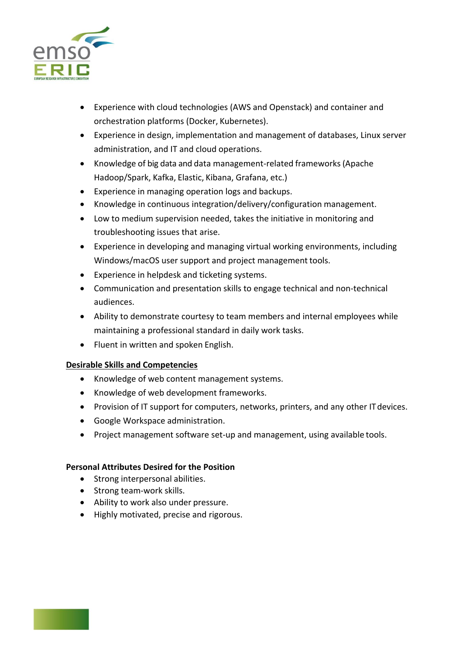

- Experience with cloud technologies (AWS and Openstack) and container and orchestration platforms (Docker, Kubernetes).
- Experience in design, implementation and management of databases, Linux server administration, and IT and cloud operations.
- Knowledge of big data and data management-related frameworks(Apache Hadoop/Spark, Kafka, Elastic, Kibana, Grafana, etc.)
- Experience in managing operation logs and backups.
- Knowledge in continuous integration/delivery/configuration management.
- Low to medium supervision needed, takes the initiative in monitoring and troubleshooting issues that arise.
- Experience in developing and managing virtual working environments, including Windows/macOS user support and project management tools.
- Experience in helpdesk and ticketing systems.
- Communication and presentation skills to engage technical and non-technical audiences.
- Ability to demonstrate courtesy to team members and internal employees while maintaining a professional standard in daily work tasks.
- Fluent in written and spoken English.

# **Desirable Skills and Competencies**

- Knowledge of web content management systems.
- Knowledge of web development frameworks.
- Provision of IT support for computers, networks, printers, and any other ITdevices.
- Google Workspace administration.
- Project management software set-up and management, using available tools.

#### **Personal Attributes Desired for the Position**

- Strong interpersonal abilities.
- Strong team-work skills.
- Ability to work also under pressure.
- Highly motivated, precise and rigorous.